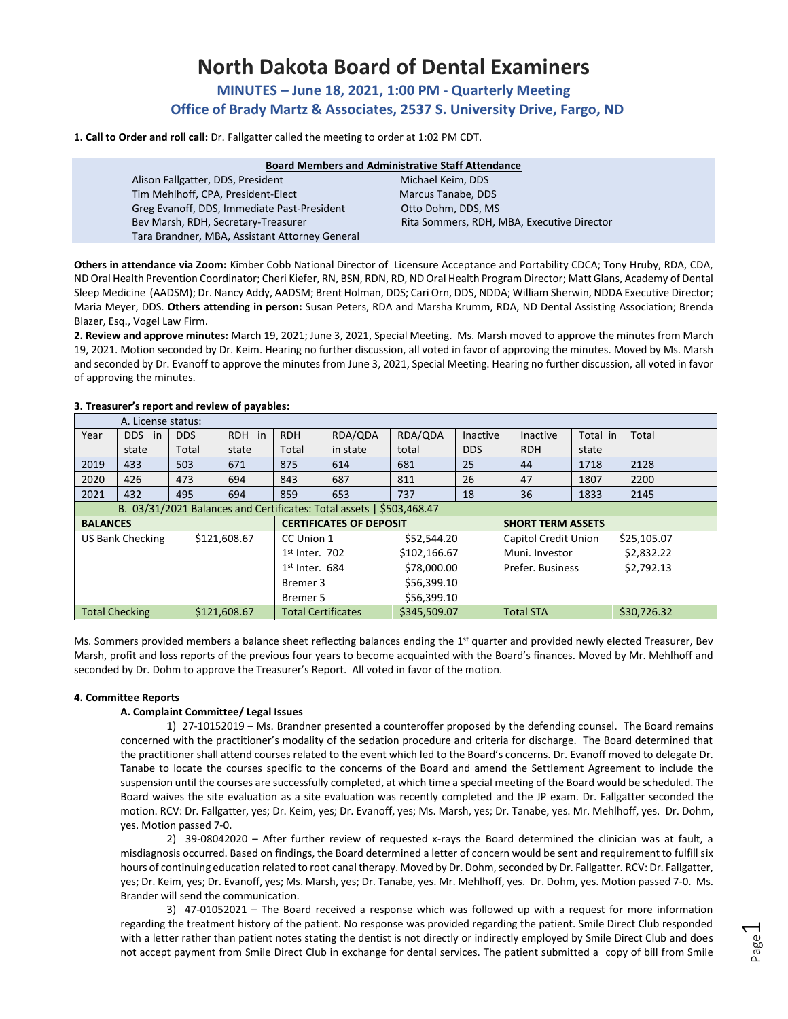# **North Dakota Board of Dental Examiners**

**MINUTES – June 18, 2021, 1:00 PM - Quarterly Meeting Office of Brady Martz & Associates, 2537 S. University Drive, Fargo, ND** 

**1. Call to Order and roll call:** Dr. Fallgatter called the meeting to order at 1:02 PM CDT.

| <b>Board Members and Administrative Staff Attendance</b> |                                            |  |  |  |  |  |
|----------------------------------------------------------|--------------------------------------------|--|--|--|--|--|
| Alison Fallgatter, DDS, President                        | Michael Keim, DDS                          |  |  |  |  |  |
| Tim Mehlhoff, CPA, President-Elect                       | Marcus Tanabe, DDS                         |  |  |  |  |  |
| Greg Evanoff, DDS, Immediate Past-President              | Otto Dohm, DDS, MS                         |  |  |  |  |  |
| Bev Marsh, RDH, Secretary-Treasurer                      | Rita Sommers, RDH, MBA, Executive Director |  |  |  |  |  |
| Tara Brandner, MBA, Assistant Attorney General           |                                            |  |  |  |  |  |

**Others in attendance via Zoom:** Kimber Cobb National Director of Licensure Acceptance and Portability CDCA; Tony Hruby, RDA, CDA, ND Oral Health Prevention Coordinator; Cheri Kiefer, RN, BSN, RDN, RD, ND Oral Health Program Director; Matt Glans, Academy of Dental Sleep Medicine (AADSM); Dr. Nancy Addy, AADSM; Brent Holman, DDS; Cari Orn, DDS, NDDA; William Sherwin, NDDA Executive Director; Maria Meyer, DDS. **Others attending in person:** Susan Peters, RDA and Marsha Krumm, RDA, ND Dental Assisting Association; Brenda Blazer, Esq., Vogel Law Firm.

**2. Review and approve minutes:** March 19, 2021; June 3, 2021, Special Meeting. Ms. Marsh moved to approve the minutes from March 19, 2021. Motion seconded by Dr. Keim. Hearing no further discussion, all voted in favor of approving the minutes. Moved by Ms. Marsh and seconded by Dr. Evanoff to approve the minutes from June 3, 2021, Special Meeting. Hearing no further discussion, all voted in favor of approving the minutes.

| A. License status:                                                   |        |                  |                           |              |              |                          |                             |            |             |       |
|----------------------------------------------------------------------|--------|------------------|---------------------------|--------------|--------------|--------------------------|-----------------------------|------------|-------------|-------|
| Year                                                                 | DDS in | <b>DDS</b>       | RDH in                    | <b>RDH</b>   | RDA/QDA      | RDA/QDA                  | Inactive                    | Inactive   | Total in    | Total |
|                                                                      | state  | Total            | state                     | Total        | in state     | total                    | <b>DDS</b>                  | <b>RDH</b> | state       |       |
| 2019                                                                 | 433    | 503              | 671                       | 875          | 614          | 681                      | 25                          | 44         | 1718        | 2128  |
| 2020                                                                 | 426    | 473              | 694                       | 843          | 687          | 811                      | 26                          | 47         | 1807        | 2200  |
| 2021                                                                 | 432    | 495              | 694                       | 859          | 653          | 737                      | 18                          | 36         | 1833        | 2145  |
| B. 03/31/2021 Balances and Certificates: Total assets   \$503,468.47 |        |                  |                           |              |              |                          |                             |            |             |       |
| <b>CERTIFICATES OF DEPOSIT</b><br><b>BALANCES</b>                    |        |                  |                           |              |              | <b>SHORT TERM ASSETS</b> |                             |            |             |       |
| \$121,608.67<br><b>US Bank Checking</b>                              |        |                  | CC Union 1                |              | \$52,544.20  |                          | <b>Capitol Credit Union</b> |            | \$25,105.07 |       |
|                                                                      |        | $1st$ Inter. 702 |                           | \$102,166.67 |              | Muni. Investor           |                             | \$2.832.22 |             |       |
|                                                                      |        |                  | $1st$ Inter. 684          | \$78,000.00  |              | Prefer. Business         |                             | \$2,792.13 |             |       |
|                                                                      |        | Bremer 3         |                           | \$56,399.10  |              |                          |                             |            |             |       |
|                                                                      |        |                  |                           | Bremer 5     |              | \$56,399.10              |                             |            |             |       |
| \$121,608.67<br><b>Total Checking</b>                                |        |                  | <b>Total Certificates</b> |              | \$345,509.07 |                          | <b>Total STA</b>            |            | \$30,726.32 |       |

# **3. Treasurer's report and review of payables:**

Ms. Sommers provided members a balance sheet reflecting balances ending the 1<sup>st</sup> quarter and provided newly elected Treasurer, Bev Marsh, profit and loss reports of the previous four years to become acquainted with the Board's finances. Moved by Mr. Mehlhoff and seconded by Dr. Dohm to approve the Treasurer's Report. All voted in favor of the motion.

# **4. Committee Reports**

## **A. Complaint Committee/ Legal Issues**

1) 27-10152019 – Ms. Brandner presented a counteroffer proposed by the defending counsel. The Board remains concerned with the practitioner's modality of the sedation procedure and criteria for discharge. The Board determined that the practitioner shall attend courses related to the event which led to the Board's concerns. Dr. Evanoff moved to delegate Dr. Tanabe to locate the courses specific to the concerns of the Board and amend the Settlement Agreement to include the suspension until the courses are successfully completed, at which time a special meeting of the Board would be scheduled. The Board waives the site evaluation as a site evaluation was recently completed and the JP exam. Dr. Fallgatter seconded the motion. RCV: Dr. Fallgatter, yes; Dr. Keim, yes; Dr. Evanoff, yes; Ms. Marsh, yes; Dr. Tanabe, yes. Mr. Mehlhoff, yes. Dr. Dohm, yes. Motion passed 7-0.

2) 39-08042020 – After further review of requested x-rays the Board determined the clinician was at fault, a misdiagnosis occurred. Based on findings, the Board determined a letter of concern would be sent and requirement to fulfill six hours of continuing education related to root canal therapy. Moved by Dr. Dohm, seconded by Dr. Fallgatter. RCV: Dr. Fallgatter, yes; Dr. Keim, yes; Dr. Evanoff, yes; Ms. Marsh, yes; Dr. Tanabe, yes. Mr. Mehlhoff, yes. Dr. Dohm, yes. Motion passed 7-0. Ms. Brander will send the communication.

3) 47-01052021 – The Board received a response which was followed up with a request for more information regarding the treatment history of the patient. No response was provided regarding the patient. Smile Direct Club responded with a letter rather than patient notes stating the dentist is not directly or indirectly employed by Smile Direct Club and does not accept payment from Smile Direct Club in exchange for dental services. The patient submitted a copy of bill from Smile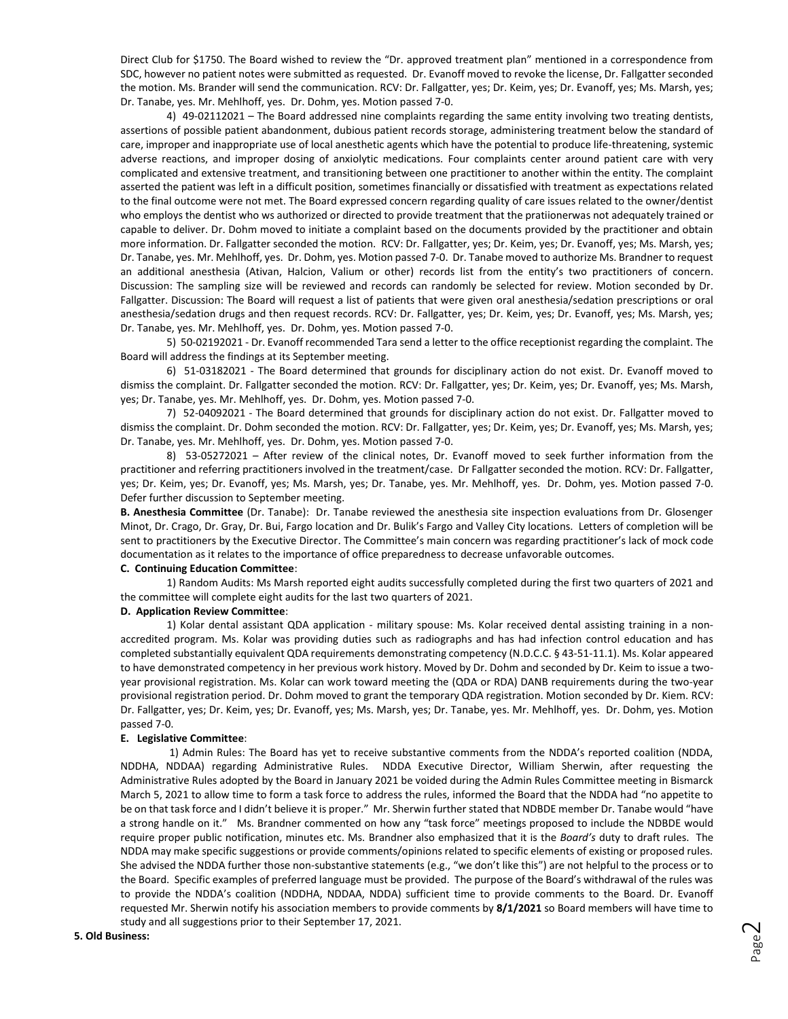Direct Club for \$1750. The Board wished to review the "Dr. approved treatment plan" mentioned in a correspondence from SDC, however no patient notes were submitted as requested. Dr. Evanoff moved to revoke the license, Dr. Fallgatter seconded the motion. Ms. Brander will send the communication. RCV: Dr. Fallgatter, yes; Dr. Keim, yes; Dr. Evanoff, yes; Ms. Marsh, yes; Dr. Tanabe, yes. Mr. Mehlhoff, yes. Dr. Dohm, yes. Motion passed 7-0.

4) 49-02112021 – The Board addressed nine complaints regarding the same entity involving two treating dentists, assertions of possible patient abandonment, dubious patient records storage, administering treatment below the standard of care, improper and inappropriate use of local anesthetic agents which have the potential to produce life-threatening, systemic adverse reactions, and improper dosing of anxiolytic medications. Four complaints center around patient care with very complicated and extensive treatment, and transitioning between one practitioner to another within the entity. The complaint asserted the patient was left in a difficult position, sometimes financially or dissatisfied with treatment as expectations related to the final outcome were not met. The Board expressed concern regarding quality of care issues related to the owner/dentist who employs the dentist who ws authorized or directed to provide treatment that the pratiionerwas not adequately trained or capable to deliver. Dr. Dohm moved to initiate a complaint based on the documents provided by the practitioner and obtain more information. Dr. Fallgatter seconded the motion. RCV: Dr. Fallgatter, yes; Dr. Keim, yes; Dr. Evanoff, yes; Ms. Marsh, yes; Dr. Tanabe, yes. Mr. Mehlhoff, yes. Dr. Dohm, yes. Motion passed 7-0. Dr. Tanabe moved to authorize Ms. Brandner to request an additional anesthesia (Ativan, Halcion, Valium or other) records list from the entity's two practitioners of concern. Discussion: The sampling size will be reviewed and records can randomly be selected for review. Motion seconded by Dr. Fallgatter. Discussion: The Board will request a list of patients that were given oral anesthesia/sedation prescriptions or oral anesthesia/sedation drugs and then request records. RCV: Dr. Fallgatter, yes; Dr. Keim, yes; Dr. Evanoff, yes; Ms. Marsh, yes; Dr. Tanabe, yes. Mr. Mehlhoff, yes. Dr. Dohm, yes. Motion passed 7-0.

5) 50-02192021 - Dr. Evanoff recommended Tara send a letter to the office receptionist regarding the complaint. The Board will address the findings at its September meeting.

6) 51-03182021 - The Board determined that grounds for disciplinary action do not exist. Dr. Evanoff moved to dismiss the complaint. Dr. Fallgatter seconded the motion. RCV: Dr. Fallgatter, yes; Dr. Keim, yes; Dr. Evanoff, yes; Ms. Marsh, yes; Dr. Tanabe, yes. Mr. Mehlhoff, yes. Dr. Dohm, yes. Motion passed 7-0.

7) 52-04092021 - The Board determined that grounds for disciplinary action do not exist. Dr. Fallgatter moved to dismiss the complaint. Dr. Dohm seconded the motion. RCV: Dr. Fallgatter, yes; Dr. Keim, yes; Dr. Evanoff, yes; Ms. Marsh, yes; Dr. Tanabe, yes. Mr. Mehlhoff, yes. Dr. Dohm, yes. Motion passed 7-0.

8) 53-05272021 – After review of the clinical notes, Dr. Evanoff moved to seek further information from the practitioner and referring practitioners involved in the treatment/case. Dr Fallgatter seconded the motion. RCV: Dr. Fallgatter, yes; Dr. Keim, yes; Dr. Evanoff, yes; Ms. Marsh, yes; Dr. Tanabe, yes. Mr. Mehlhoff, yes. Dr. Dohm, yes. Motion passed 7-0. Defer further discussion to September meeting.

**B. Anesthesia Committee** (Dr. Tanabe): Dr. Tanabe reviewed the anesthesia site inspection evaluations from Dr. Glosenger Minot, Dr. Crago, Dr. Gray, Dr. Bui, Fargo location and Dr. Bulik's Fargo and Valley City locations. Letters of completion will be sent to practitioners by the Executive Director. The Committee's main concern was regarding practitioner's lack of mock code documentation as it relates to the importance of office preparedness to decrease unfavorable outcomes.

### **C. Continuing Education Committee**:

1) Random Audits: Ms Marsh reported eight audits successfully completed during the first two quarters of 2021 and the committee will complete eight audits for the last two quarters of 2021.

#### **D. Application Review Committee**:

1) Kolar dental assistant QDA application - military spouse: Ms. Kolar received dental assisting training in a nonaccredited program. Ms. Kolar was providing duties such as radiographs and has had infection control education and has completed substantially equivalent QDA requirements demonstrating competency (N.D.C.C. § 43-51-11.1). Ms. Kolar appeared to have demonstrated competency in her previous work history. Moved by Dr. Dohm and seconded by Dr. Keim to issue a twoyear provisional registration. Ms. Kolar can work toward meeting the (QDA or RDA) DANB requirements during the two-year provisional registration period. Dr. Dohm moved to grant the temporary QDA registration. Motion seconded by Dr. Kiem. RCV: Dr. Fallgatter, yes; Dr. Keim, yes; Dr. Evanoff, yes; Ms. Marsh, yes; Dr. Tanabe, yes. Mr. Mehlhoff, yes. Dr. Dohm, yes. Motion passed 7-0.

#### **E. Legislative Committee**:

1) Admin Rules: The Board has yet to receive substantive comments from the NDDA's reported coalition (NDDA, NDDHA, NDDAA) regarding Administrative Rules. NDDA Executive Director, William Sherwin, after requesting the Administrative Rules adopted by the Board in January 2021 be voided during the Admin Rules Committee meeting in Bismarck March 5, 2021 to allow time to form a task force to address the rules, informed the Board that the NDDA had "no appetite to be on that task force and I didn't believe it is proper." Mr. Sherwin further stated that NDBDE member Dr. Tanabe would "have a strong handle on it." Ms. Brandner commented on how any "task force" meetings proposed to include the NDBDE would require proper public notification, minutes etc. Ms. Brandner also emphasized that it is the *Board's* duty to draft rules. The NDDA may make specific suggestions or provide comments/opinions related to specific elements of existing or proposed rules. She advised the NDDA further those non-substantive statements (e.g., "we don't like this") are not helpful to the process or to the Board. Specific examples of preferred language must be provided. The purpose of the Board's withdrawal of the rules was to provide the NDDA's coalition (NDDHA, NDDAA, NDDA) sufficient time to provide comments to the Board. Dr. Evanoff requested Mr. Sherwin notify his association members to provide comments by **8/1/2021** so Board members will have time to study and all suggestions prior to their September 17, 2021.

#### **5. Old Business:**

Page  $\mathrel{\sim}$